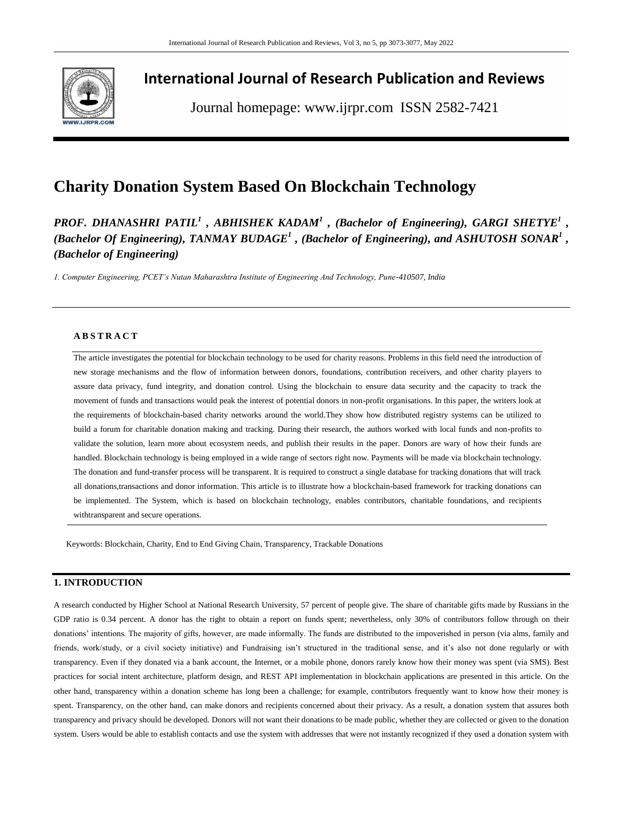

# **International Journal of Research Publication and Reviews**

Journal homepage: www.ijrpr.com ISSN 2582-7421

# **Charity Donation System Based On Blockchain Technology**

*PROF. DHANASHRI PATIL<sup>1</sup> , ABHISHEK KADAM<sup>1</sup> , (Bachelor of Engineering), GARGI SHETYE<sup>1</sup> , (Bachelor Of Engineering), TANMAY BUDAGE<sup>1</sup> , (Bachelor of Engineering), and ASHUTOSH SONAR<sup>1</sup> , (Bachelor of Engineering)*

*1. Computer Engineering, PCET's Nutan Maharashtra Institute of Engineering And Technology, Pune-410507, India*

# **A B S T R A C T**

The article investigates the potential for blockchain technology to be used for charity reasons. Problems in this field need the introduction of new storage mechanisms and the flow of information between donors, foundations, contribution receivers, and other charity players to assure data privacy, fund integrity, and donation control. Using the blockchain to ensure data security and the capacity to track the movement of funds and transactions would peak the interest of potential donors in non-profit organisations. In this paper, the writers look at the requirements of blockchain-based charity networks around the world.They show how distributed registry systems can be utilized to build a forum for charitable donation making and tracking. During their research, the authors worked with local funds and non-profits to validate the solution, learn more about ecosystem needs, and publish their results in the paper. Donors are wary of how their funds are handled. Blockchain technology is being employed in a wide range of sectors right now. Payments will be made via blockchain technology. The donation and fund-transfer process will be transparent. It is required to construct a single database for tracking donations that will track all donations,transactions and donor information. This article is to illustrate how a blockchain-based framework for tracking donations can be implemented. The System, which is based on blockchain technology, enables contributors, charitable foundations, and recipients withtransparent and secure operations.

Keywords: Blockchain, Charity, End to End Giving Chain, Transparency, Trackable Donations

# **1. INTRODUCTION**

A research conducted by Higher School at National Research University, 57 percent of people give. The share of charitable gifts made by Russians in the GDP ratio is 0.34 percent. A donor has the right to obtain a report on funds spent; nevertheless, only 30% of contributors follow through on their donations' intentions. The majority of gifts, however, are made informally. The funds are distributed to the impoverished in person (via alms, family and friends, work/study, or a civil society initiative) and Fundraising isn't structured in the traditional sense, and it's also not done regularly or with transparency. Even if they donated via a bank account, the Internet, or a mobile phone, donors rarely know how their money was spent (via SMS). Best practices for social intent architecture, platform design, and REST API implementation in blockchain applications are presented in this article. On the other hand, transparency within a donation scheme has long been a challenge; for example, contributors frequently want to know how their money is spent. Transparency, on the other hand, can make donors and recipients concerned about their privacy. As a result, a donation system that assures both transparency and privacy should be developed. Donors will not want their donations to be made public, whether they are collected or given to the donation system. Users would be able to establish contacts and use the system with addresses that were not instantly recognized if they used a donation system with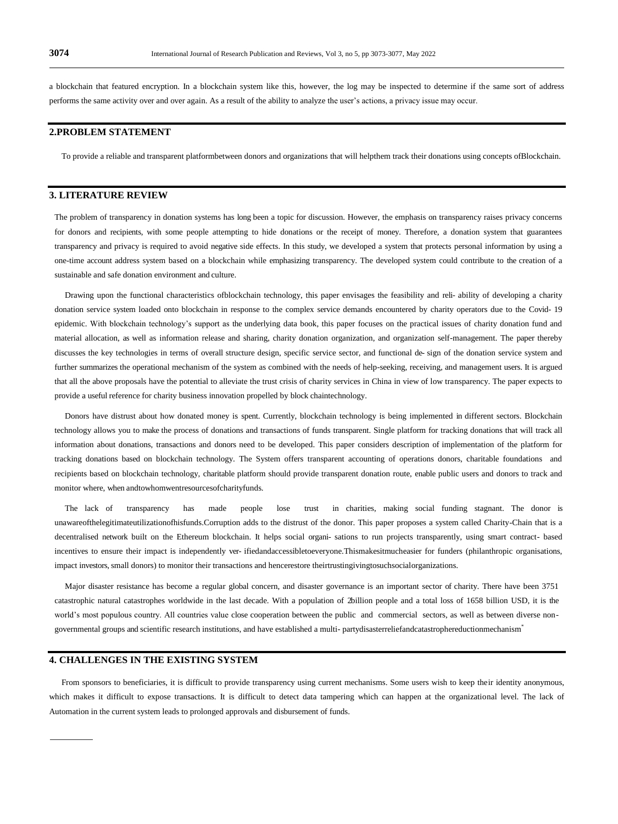a blockchain that featured encryption. In a blockchain system like this, however, the log may be inspected to determine if the same sort of address performs the same activity over and over again. As a result of the ability to analyze the user"s actions, a privacy issue may occur.

# **2.PROBLEM STATEMENT**

To provide a reliable and transparent platformbetween donors and organizations that will helpthem track their donations using concepts ofBlockchain.

## **3. LITERATURE REVIEW**

The problem of transparency in donation systems has long been a topic for discussion. However, the emphasis on transparency raises privacy concerns for donors and recipients, with some people attempting to hide donations or the receipt of money. Therefore, a donation system that guarantees transparency and privacy is required to avoid negative side effects. In this study, we developed a system that protects personal information by using a one-time account address system based on a blockchain while emphasizing transparency. The developed system could contribute to the creation of a sustainable and safe donation environment and culture.

Drawing upon the functional characteristics ofblockchain technology, this paper envisages the feasibility and reli- ability of developing a charity donation service system loaded onto blockchain in response to the complex service demands encountered by charity operators due to the Covid- 19 epidemic. With blockchain technology"s support as the underlying data book, this paper focuses on the practical issues of charity donation fund and material allocation, as well as information release and sharing, charity donation organization, and organization self-management. The paper thereby discusses the key technologies in terms of overall structure design, specific service sector, and functional de- sign of the donation service system and further summarizes the operational mechanism of the system as combined with the needs of help-seeking, receiving, and management users. It is argued that all the above proposals have the potential to alleviate the trust crisis of charity services in China in view of low transparency. The paper expects to provide a useful reference for charity business innovation propelled by block chaintechnology.

Donors have distrust about how donated money is spent. Currently, blockchain technology is being implemented in different sectors. Blockchain technology allows you to make the process of donations and transactions of funds transparent. Single platform for tracking donations that will track all information about donations, transactions and donors need to be developed. This paper considers description of implementation of the platform for tracking donations based on blockchain technology. The System offers transparent accounting of operations donors, charitable foundations and recipients based on blockchain technology, charitable platform should provide transparent donation route, enable public users and donors to track and monitor where, when andtowhomwentresourcesofcharityfunds.

The lack of transparency has made people lose trust in charities, making social funding stagnant. The donor is unawareofthelegitimateutilizationofhisfunds.Corruption adds to the distrust of the donor. This paper proposes a system called Charity-Chain that is a decentralised network built on the Ethereum blockchain. It helps social organi- sations to run projects transparently, using smart contract- based incentives to ensure their impact is independently ver- ifiedandaccessibletoeveryone.Thismakesitmucheasier for funders (philanthropic organisations, impact investors, small donors) to monitor their transactions and hencerestore theirtrustingivingtosuchsocialorganizations.

Major disaster resistance has become a regular global concern, and disaster governance is an important sector of charity. There have been 3751 catastrophic natural catastrophes worldwide in the last decade. With a population of 2billion people and a total loss of 1658 billion USD, it is the world's most populous country. All countries value close cooperation between the public and commercial sectors, as well as between diverse nongovernmental groups and scientific research institutions, and have established a multi- partydisasterreliefandcatastrophereductionmechanism\*

# **4. CHALLENGES IN THE EXISTING SYSTEM**

From sponsors to beneficiaries, it is difficult to provide transparency using current mechanisms. Some users wish to keep their identity anonymous, which makes it difficult to expose transactions. It is difficult to detect data tampering which can happen at the organizational level. The lack of Automation in the current system leads to prolonged approvals and disbursement of funds.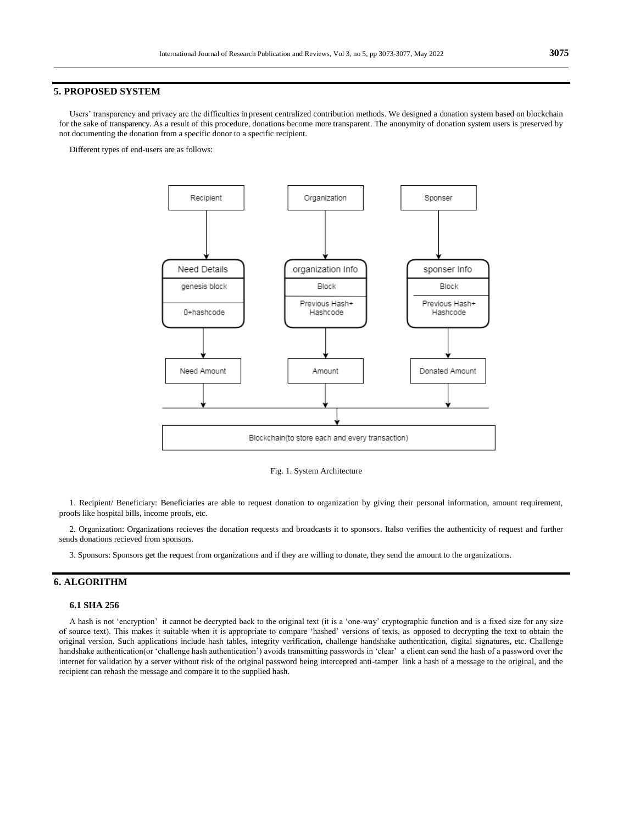#### **5. PROPOSED SYSTEM**

Users" transparency and privacy are the difficulties in present centralized contribution methods. We designed a donation system based on blockchain for the sake of transparency. As a result of this procedure, donations become more transparent. The anonymity of donation system users is preserved by not documenting the donation from a specific donor to a specific recipient.

Different types of end-users are as follows:



Fig. 1. System Architecture

1. Recipient/ Beneficiary: Beneficiaries are able to request donation to organization by giving their personal information, amount requirement, proofs like hospital bills, income proofs, etc.

2. Organization: Organizations recieves the donation requests and broadcasts it to sponsors. Italso verifies the authenticity of request and further sends donations recieved from sponsors.

3. Sponsors: Sponsors get the request from organizations and if they are willing to donate, they send the amount to the organizations.

## **6. ALGORITHM**

#### **6.1 SHA 256**

A hash is not "encryption" it cannot be decrypted back to the original text (it is a "one-way" cryptographic function and is a fixed size for any size of source text). This makes it suitable when it is appropriate to compare "hashed" versions of texts, as opposed to decrypting the text to obtain the original version. Such applications include hash tables, integrity verification, challenge handshake authentication, digital signatures, etc. Challenge handshake authentication(or 'challenge hash authentication') avoids transmitting passwords in 'clear' a client can send the hash of a password over the internet for validation by a server without risk of the original password being intercepted anti-tamper link a hash of a message to the original, and the recipient can rehash the message and compare it to the supplied hash.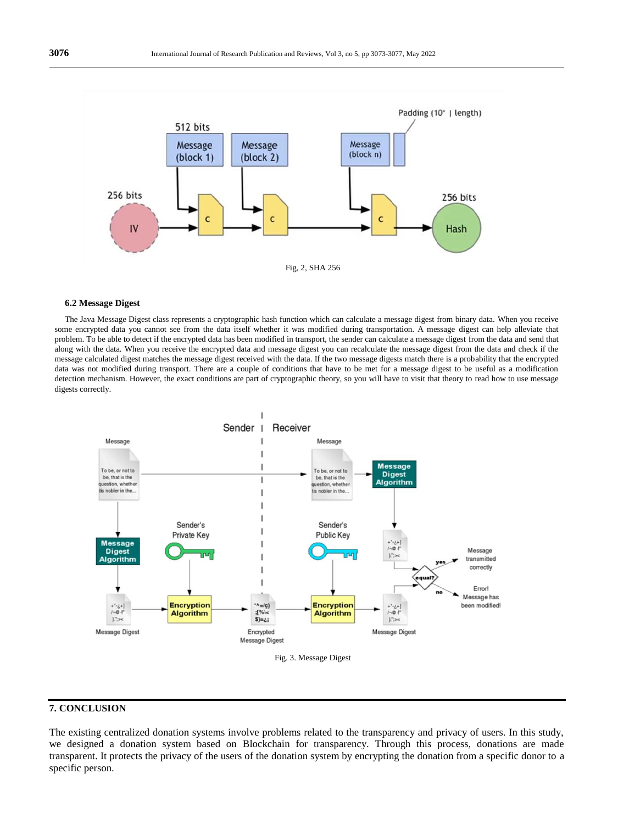

#### **6.2 Message Digest**

The Java Message Digest class represents a cryptographic hash function which can calculate a message digest from binary data. When you receive some encrypted data you cannot see from the data itself whether it was modified during transportation. A message digest can help alleviate that problem. To be able to detect if the encrypted data has been modified in transport, the sender can calculate a message digest from the data and send that along with the data. When you receive the encrypted data and message digest you can recalculate the message digest from the data and check if the message calculated digest matches the message digest received with the data. If the two message digests match there is a probability that the encrypted data was not modified during transport. There are a couple of conditions that have to be met for a message digest to be useful as a modification detection mechanism. However, the exact conditions are part of cryptographic theory, so you will have to visit that theory to read how to use message digests correctly.



# **7. CONCLUSION**

The existing centralized donation systems involve problems related to the transparency and privacy of users. In this study, we designed a donation system based on Blockchain for transparency. Through this process, donations are made transparent. It protects the privacy of the users of the donation system by encrypting the donation from a specific donor to a specific person.